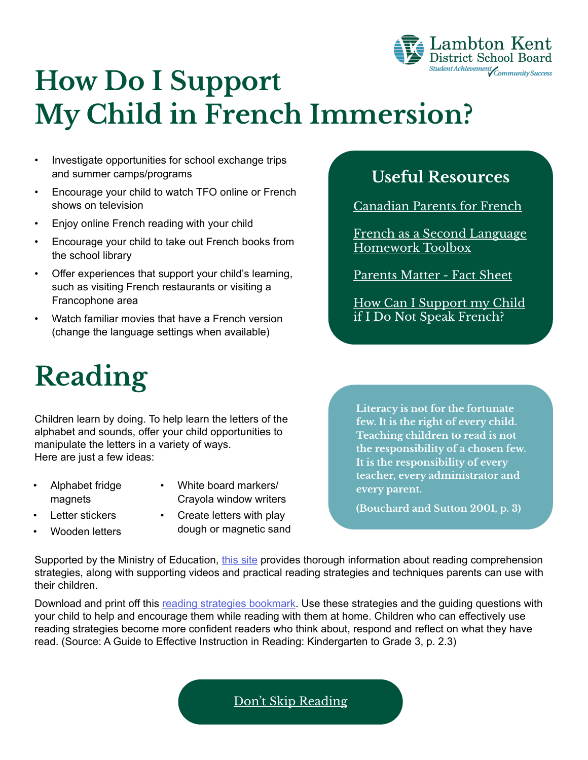

## **How Do I Support My Child in French Immersion?**

- Investigate opportunities for school exchange trips and summer camps/programs
- Encourage your child to watch TFO online or French shows on television
- Enjoy online French reading with your child
- Encourage your child to take out French books from the school library
- Offer experiences that support your child's learning, such as visiting French restaurants or visiting a Francophone area
- Watch familiar movies that have a French version (change the language settings when available)

# **Reading**

Children learn by doing. To help learn the letters of the alphabet and sounds, offer your child opportunities to manipulate the letters in a variety of ways. Here are just a few ideas:

- Alphabet fridge magnets
- White board markers/ Crayola window writers
- Letter stickers

Wooden letters

• Create letters with play dough or magnetic sand

#### **Useful Resources**

[Canadian Parents for French](https://cpf.ca/en/)

[French as a Second Language](http://www.fslhomeworktoolbox.ca/) [Homework Toolbox](http://www.fslhomeworktoolbox.ca/)

[Parents Matter - Fact Sheet](http://www.edu.gov.on.ca/eng/multi/english/ParentsMatterEN.pdf)

[How Can I Support my Child](https://www.lkdsb.net/Elementary/FrenchImmersion/videos/videos/Forms/Video/videoplayerpage.aspx?ID=24&FolderCTID=0x0120D520A80800AA7A505012A09B44A0811B1AE0ADBC2D&List=3bd2d62c-2d1b-408d-bcca-ad975fa2019e&RootFolder=%2FElementary%2FFrenchImmersion%2Fvideos%2Fvideos%2FHow%20can%20I%20support%20my%20child%20if%20I%20don%27t%20speak%20French%2FAdditional%20Content&RecSrc=%2FElementary%2FFrenchImmersion%2Fvideos%2Fvideos%2FHow%20can%20I%20support%20my%20child%20if%20I%20don%27t%20speak%20French#/=) [if I Do Not Speak French?](https://www.lkdsb.net/Elementary/FrenchImmersion/videos/videos/Forms/Video/videoplayerpage.aspx?ID=24&FolderCTID=0x0120D520A80800AA7A505012A09B44A0811B1AE0ADBC2D&List=3bd2d62c-2d1b-408d-bcca-ad975fa2019e&RootFolder=%2FElementary%2FFrenchImmersion%2Fvideos%2Fvideos%2FHow%20can%20I%20support%20my%20child%20if%20I%20don%27t%20speak%20French%2FAdditional%20Content&RecSrc=%2FElementary%2FFrenchImmersion%2Fvideos%2Fvideos%2FHow%20can%20I%20support%20my%20child%20if%20I%20don%27t%20speak%20French#/=)

**Literacy is not for the fortunate few. It is the right of every child. Teaching children to read is not the responsibility of a chosen few. It is the responsibility of every teacher, every administrator and every parent.** 

**(Bouchard and Sutton 2001, p. 3)**

Supported by the Ministry of Education, [this site](http://www.fslhomeworktoolbox.ca/lookandlisten/reading/intro_to_reading.php) provides thorough information about reading comprehension strategies, along with supporting videos and practical reading strategies and techniques parents can use with their children.

Download and print off this [reading strategies bookmark.](https://www.lkdsb.net/Elementary/FrenchImmersion/Documents/Les%20strat%C3%A9gies%20de%20lecture.pdf) Use these strategies and the guiding questions with your child to help and encourage them while reading with them at home. Children who can effectively use reading strategies become more confident readers who think about, respond and reflect on what they have read. (Source: A Guide to Effective Instruction in Reading: Kindergarten to Grade 3, p. 2.3)

[Don't Skip Reading](http://www.oakhurstpta.com/resources/20-minutes-of-reading.pdf)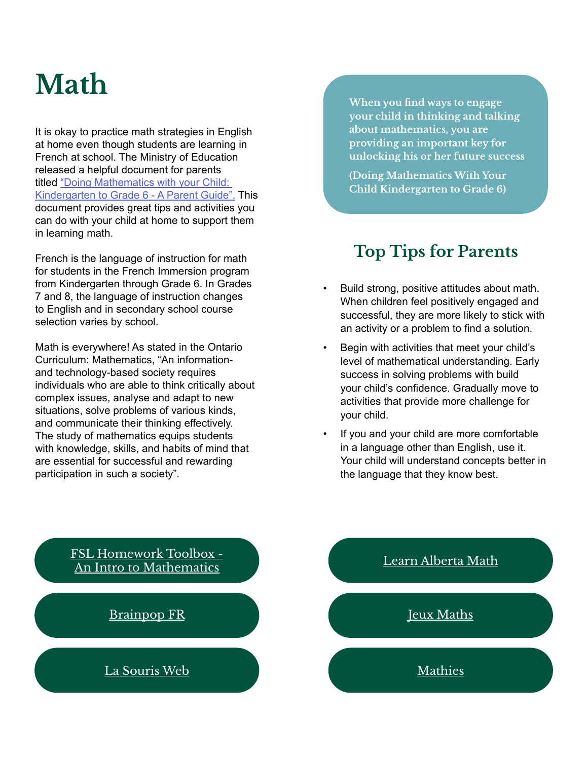## **Math**

It is okay to practice math strategies in English at home even though students are learning in French at school. The Ministry of Education released a helpful document for parents titled ["Doing Mathematics with your Child:](http://www.edu.gov.on.ca/eng/literacynumeracy/parentGuideNumEn.pdf)  [Kindergarten to Grade 6 - A Parent Guide".](http://www.edu.gov.on.ca/eng/literacynumeracy/parentGuideNumEn.pdf) This document provides great tips and activities you can do with your child at home to support them in learning math.

French is the language of instruction for math for students in the French Immersion program from Kindergarten through Grade 6. In Grades 7 and 8, the language of instruction changes to English and in secondary school course selection varies by school.

Math is everywhere! As stated in the Ontario Curriculum: Mathematics, "An informationand technology-based society requires individuals who are able to think critically about complex issues, analyse and adapt to new situations, solve problems of various kinds, and communicate their thinking effectively. The study of mathematics equips students with knowledge, skills, and habits of mind that are essential for successful and rewarding participation in such a society".

**When you find ways to engage your child in thinking and talking about mathematics, you are providing an important key for unlocking his or her future success**

**(Doing Mathematics With Your Child Kindergarten to Grade 6)**

### **Top Tips for Parents**

- Build strong, positive attitudes about math. When children feel positively engaged and successful, they are more likely to stick with an activity or a problem to find a solution.
- Begin with activities that meet your child's level of mathematical understanding. Early success in solving problems with build your child's confidence. Gradually move to activities that provide more challenge for your child.
- If you and your child are more comfortable in a language other than English, use it. Your child will understand concepts better in the language that they know best.